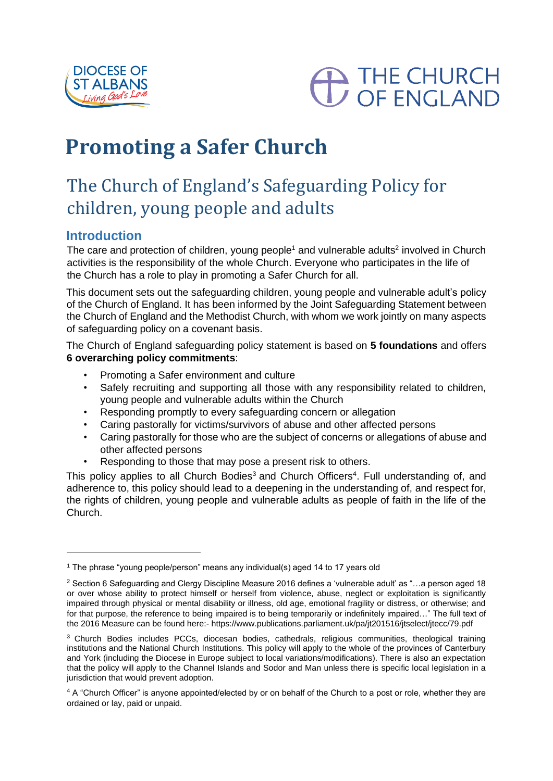



# **Promoting a Safer Church**

## The Church of England's Safeguarding Policy for children, young people and adults

## **Introduction**

The care and protection of children, young people<sup>1</sup> and vulnerable adults<sup>2</sup> involved in Church activities is the responsibility of the whole Church. Everyone who participates in the life of the Church has a role to play in promoting a Safer Church for all.

This document sets out the safeguarding children, young people and vulnerable adult's policy of the Church of England. It has been informed by the Joint Safeguarding Statement between the Church of England and the Methodist Church, with whom we work jointly on many aspects of safeguarding policy on a covenant basis.

The Church of England safeguarding policy statement is based on **5 foundations** and offers **6 overarching policy commitments**:

- Promoting a Safer environment and culture
- Safely recruiting and supporting all those with any responsibility related to children, young people and vulnerable adults within the Church
- Responding promptly to every safeguarding concern or allegation
- Caring pastorally for victims/survivors of abuse and other affected persons
- Caring pastorally for those who are the subject of concerns or allegations of abuse and other affected persons
- Responding to those that may pose a present risk to others.

This policy applies to all Church Bodies<sup>3</sup> and Church Officers<sup>4</sup>. Full understanding of, and adherence to, this policy should lead to a deepening in the understanding of, and respect for, the rights of children, young people and vulnerable adults as people of faith in the life of the Church.

<sup>1</sup> The phrase "young people/person" means any individual(s) aged 14 to 17 years old

<sup>2</sup> Section 6 Safeguarding and Clergy Discipline Measure 2016 defines a 'vulnerable adult' as "…a person aged 18 or over whose ability to protect himself or herself from violence, abuse, neglect or exploitation is significantly impaired through physical or mental disability or illness, old age, emotional fragility or distress, or otherwise; and for that purpose, the reference to being impaired is to being temporarily or indefinitely impaired…" The full text of the 2016 Measure can be found here:- https://www.publications.parliament.uk/pa/jt201516/jtselect/jtecc/79.pdf

<sup>&</sup>lt;sup>3</sup> Church Bodies includes PCCs, diocesan bodies, cathedrals, religious communities, theological training institutions and the National Church Institutions. This policy will apply to the whole of the provinces of Canterbury and York (including the Diocese in Europe subject to local variations/modifications). There is also an expectation that the policy will apply to the Channel Islands and Sodor and Man unless there is specific local legislation in a jurisdiction that would prevent adoption.

<sup>4</sup> A "Church Officer" is anyone appointed/elected by or on behalf of the Church to a post or role, whether they are ordained or lay, paid or unpaid.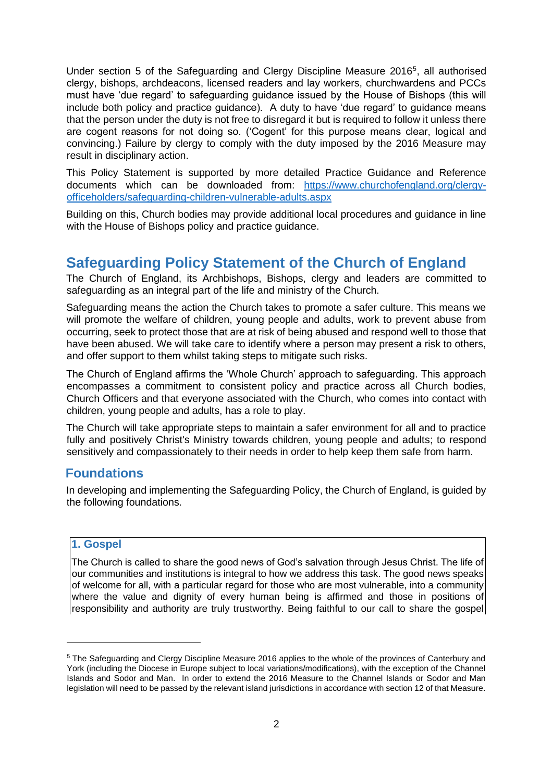Under section 5 of the Safeguarding and Clergy Discipline Measure 2016<sup>5</sup>, all authorised clergy, bishops, archdeacons, licensed readers and lay workers, churchwardens and PCCs must have 'due regard' to safeguarding guidance issued by the House of Bishops (this will include both policy and practice guidance). A duty to have 'due regard' to guidance means that the person under the duty is not free to disregard it but is required to follow it unless there are cogent reasons for not doing so. ('Cogent' for this purpose means clear, logical and convincing.) Failure by clergy to comply with the duty imposed by the 2016 Measure may result in disciplinary action.

This Policy Statement is supported by more detailed Practice Guidance and Reference documents which can be downloaded from: [https://www.churchofengland.org/clergy](https://www.churchofengland.org/clergy-office-holders/safeguarding-children-vulnerable-adults.aspx)[officeholders/safeguarding-children-vulnerable-adults.aspx](https://www.churchofengland.org/clergy-office-holders/safeguarding-children-vulnerable-adults.aspx)

Building on this, Church bodies may provide additional local procedures and guidance in line with the House of Bishops policy and practice guidance.

## **Safeguarding Policy Statement of the Church of England**

The Church of England, its Archbishops, Bishops, clergy and leaders are committed to safeguarding as an integral part of the life and ministry of the Church.

Safeguarding means the action the Church takes to promote a safer culture. This means we will promote the welfare of children, young people and adults, work to prevent abuse from occurring, seek to protect those that are at risk of being abused and respond well to those that have been abused. We will take care to identify where a person may present a risk to others, and offer support to them whilst taking steps to mitigate such risks.

The Church of England affirms the 'Whole Church' approach to safeguarding. This approach encompasses a commitment to consistent policy and practice across all Church bodies, Church Officers and that everyone associated with the Church, who comes into contact with children, young people and adults, has a role to play.

The Church will take appropriate steps to maintain a safer environment for all and to practice fully and positively Christ's Ministry towards children, young people and adults; to respond sensitively and compassionately to their needs in order to help keep them safe from harm.

#### **Foundations**

In developing and implementing the Safeguarding Policy, the Church of England, is guided by the following foundations.

#### **1. Gospel**

The Church is called to share the good news of God's salvation through Jesus Christ. The life of our communities and institutions is integral to how we address this task. The good news speaks of welcome for all, with a particular regard for those who are most vulnerable, into a community where the value and dignity of every human being is affirmed and those in positions of responsibility and authority are truly trustworthy. Being faithful to our call to share the gospel

<sup>5</sup> The Safeguarding and Clergy Discipline Measure 2016 applies to the whole of the provinces of Canterbury and York (including the Diocese in Europe subject to local variations/modifications), with the exception of the Channel Islands and Sodor and Man. In order to extend the 2016 Measure to the Channel Islands or Sodor and Man legislation will need to be passed by the relevant island jurisdictions in accordance with section 12 of that Measure.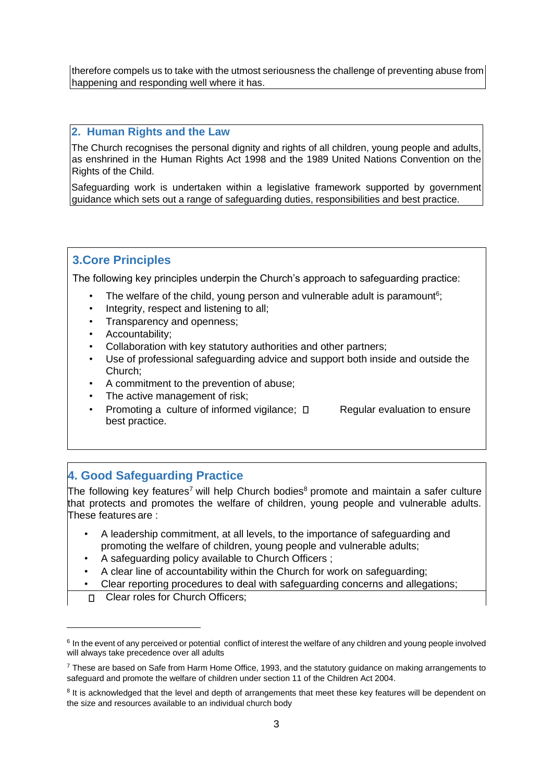therefore compels us to take with the utmost seriousness the challenge of preventing abuse from happening and responding well where it has.

#### **2. Human Rights and the Law**

The Church recognises the personal dignity and rights of all children, young people and adults, as enshrined in the Human Rights Act 1998 and the 1989 United Nations Convention on the Rights of the Child.

Safeguarding work is undertaken within a legislative framework supported by government guidance which sets out a range of safeguarding duties, responsibilities and best practice.

#### **3.Core Principles**

The following key principles underpin the Church's approach to safeguarding practice:

- The welfare of the child, young person and vulnerable adult is paramount<sup>6</sup>;
- Integrity, respect and listening to all;
- Transparency and openness;
- Accountability;
- Collaboration with key statutory authorities and other partners;
- Use of professional safeguarding advice and support both inside and outside the Church;
- A commitment to the prevention of abuse;
- The active management of risk;
- Promoting a culture of informed vigilance;  $\Box$  Regular evaluation to ensure best practice.

## **4. Good Safeguarding Practice**

The following key features<sup>7</sup> will help Church bodies<sup>8</sup> promote and maintain a safer culture that protects and promotes the welfare of children, young people and vulnerable adults. These features are :

- A leadership commitment, at all levels, to the importance of safeguarding and promoting the welfare of children, young people and vulnerable adults;
- A safeguarding policy available to Church Officers ;
- A clear line of accountability within the Church for work on safeguarding;
- Clear reporting procedures to deal with safeguarding concerns and allegations;
- Clear roles for Church Officers;

<sup>&</sup>lt;sup>6</sup> In the event of any perceived or potential conflict of interest the welfare of any children and young people involved will always take precedence over all adults

<sup>7</sup> These are based on Safe from Harm Home Office, 1993, and the statutory guidance on making arrangements to safeguard and promote the welfare of children under section 11 of the Children Act 2004.

<sup>&</sup>lt;sup>8</sup> It is acknowledged that the level and depth of arrangements that meet these key features will be dependent on the size and resources available to an individual church body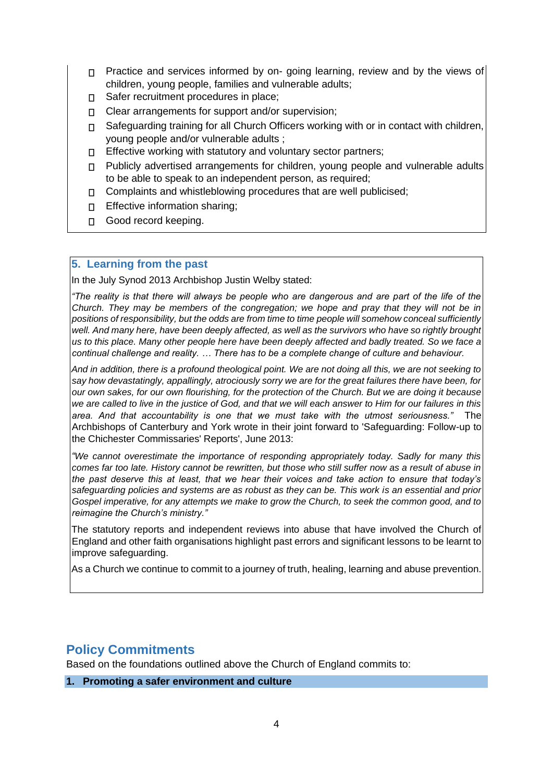- □ Practice and services informed by on- going learning, review and by the views of children, young people, families and vulnerable adults;
- Safer recruitment procedures in place;  $\Box$
- Clear arrangements for support and/or supervision;  $\Box$
- Safeguarding training for all Church Officers working with or in contact with children,  $\Box$ young people and/or vulnerable adults ;
- Effective working with statutory and voluntary sector partners;
- $\Box$ Publicly advertised arrangements for children, young people and vulnerable adults to be able to speak to an independent person, as required;
- Complaints and whistleblowing procedures that are well publicised;  $\Box$
- Effective information sharing;  $\Box$
- Good record keeping.

#### **5. Learning from the past**

In the July Synod 2013 Archbishop Justin Welby stated:

*"The reality is that there will always be people who are dangerous and are part of the life of the Church. They may be members of the congregation; we hope and pray that they will not be in positions of responsibility, but the odds are from time to time people will somehow conceal sufficiently well. And many here, have been deeply affected, as well as the survivors who have so rightly brought us to this place. Many other people here have been deeply affected and badly treated. So we face a continual challenge and reality. … There has to be a complete change of culture and behaviour.* 

*And in addition, there is a profound theological point. We are not doing all this, we are not seeking to say how devastatingly, appallingly, atrociously sorry we are for the great failures there have been, for our own sakes, for our own flourishing, for the protection of the Church. But we are doing it because we are called to live in the justice of God, and that we will each answer to Him for our failures in this area. And that accountability is one that we must take with the utmost seriousness."* The Archbishops of Canterbury and York wrote in their joint forward to 'Safeguarding: Follow-up to the Chichester Commissaries' Reports', June 2013:

*"We cannot overestimate the importance of responding appropriately today. Sadly for many this comes far too late. History cannot be rewritten, but those who still suffer now as a result of abuse in the past deserve this at least, that we hear their voices and take action to ensure that today's safeguarding policies and systems are as robust as they can be. This work is an essential and prior Gospel imperative, for any attempts we make to grow the Church, to seek the common good, and to reimagine the Church's ministry."* 

The statutory reports and independent reviews into abuse that have involved the Church of England and other faith organisations highlight past errors and significant lessons to be learnt to improve safeguarding.

As a Church we continue to commit to a journey of truth, healing, learning and abuse prevention.

## **Policy Commitments**

Based on the foundations outlined above the Church of England commits to:

#### **1. Promoting a safer environment and culture**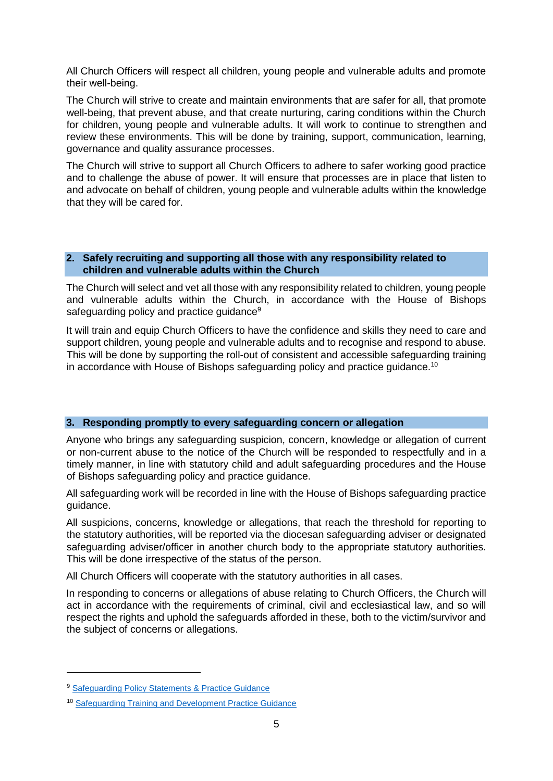All Church Officers will respect all children, young people and vulnerable adults and promote their well-being.

The Church will strive to create and maintain environments that are safer for all, that promote well-being, that prevent abuse, and that create nurturing, caring conditions within the Church for children, young people and vulnerable adults. It will work to continue to strengthen and review these environments. This will be done by training, support, communication, learning, governance and quality assurance processes.

The Church will strive to support all Church Officers to adhere to safer working good practice and to challenge the abuse of power. It will ensure that processes are in place that listen to and advocate on behalf of children, young people and vulnerable adults within the knowledge that they will be cared for.

#### **2. Safely recruiting and supporting all those with any responsibility related to children and vulnerable adults within the Church**

The Church will select and vet all those with any responsibility related to children, young people and vulnerable adults within the Church, in accordance with the House of Bishops safeguarding policy and practice guidance<sup>9</sup>

It will train and equip Church Officers to have the confidence and skills they need to care and support children, young people and vulnerable adults and to recognise and respond to abuse. This will be done by supporting the roll-out of consistent and accessible safeguarding training in accordance with House of Bishops safeguarding policy and practice guidance.<sup>10</sup>

#### **3. Responding promptly to every safeguarding concern or allegation**

Anyone who brings any safeguarding suspicion, concern, knowledge or allegation of current or non-current abuse to the notice of the Church will be responded to respectfully and in a timely manner, in line with statutory child and adult safeguarding procedures and the House of Bishops safeguarding policy and practice guidance.

All safeguarding work will be recorded in line with the House of Bishops safeguarding practice guidance.

All suspicions, concerns, knowledge or allegations, that reach the threshold for reporting to the statutory authorities, will be reported via the diocesan safeguarding adviser or designated safeguarding adviser/officer in another church body to the appropriate statutory authorities. This will be done irrespective of the status of the person.

All Church Officers will cooperate with the statutory authorities in all cases.

In responding to concerns or allegations of abuse relating to Church Officers, the Church will act in accordance with the requirements of criminal, civil and ecclesiastical law, and so will respect the rights and uphold the safeguards afforded in these, both to the victim/survivor and the subject of concerns or allegations.

<sup>9</sup> [Safeguarding Policy Statements & Practice Guidance](https://www.churchofengland.org/clergy-office-holders/safeguarding-children-vulnerable-adults/national-policy-practice-guidance.aspx)

<sup>10</sup> [Safeguarding Training and Development Practice Guidance](https://www.churchofengland.org/media/3791799/approved-practice-guidance-safeguarding-training-and-development.pdf)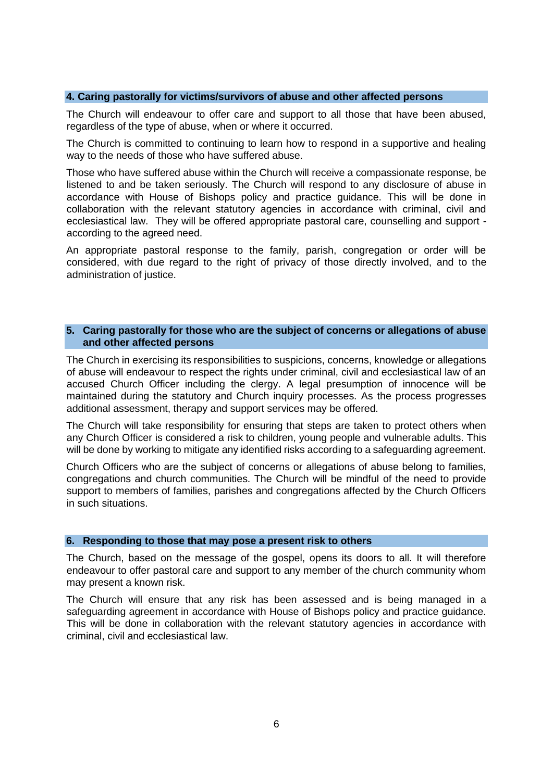#### **4. Caring pastorally for victims/survivors of abuse and other affected persons**

The Church will endeavour to offer care and support to all those that have been abused, regardless of the type of abuse, when or where it occurred.

The Church is committed to continuing to learn how to respond in a supportive and healing way to the needs of those who have suffered abuse.

Those who have suffered abuse within the Church will receive a compassionate response, be listened to and be taken seriously. The Church will respond to any disclosure of abuse in accordance with House of Bishops policy and practice guidance. This will be done in collaboration with the relevant statutory agencies in accordance with criminal, civil and ecclesiastical law. They will be offered appropriate pastoral care, counselling and support according to the agreed need.

An appropriate pastoral response to the family, parish, congregation or order will be considered, with due regard to the right of privacy of those directly involved, and to the administration of justice.

#### **5. Caring pastorally for those who are the subject of concerns or allegations of abuse and other affected persons**

The Church in exercising its responsibilities to suspicions, concerns, knowledge or allegations of abuse will endeavour to respect the rights under criminal, civil and ecclesiastical law of an accused Church Officer including the clergy. A legal presumption of innocence will be maintained during the statutory and Church inquiry processes. As the process progresses additional assessment, therapy and support services may be offered.

The Church will take responsibility for ensuring that steps are taken to protect others when any Church Officer is considered a risk to children, young people and vulnerable adults. This will be done by working to mitigate any identified risks according to a safeguarding agreement.

Church Officers who are the subject of concerns or allegations of abuse belong to families, congregations and church communities. The Church will be mindful of the need to provide support to members of families, parishes and congregations affected by the Church Officers in such situations.

#### **6. Responding to those that may pose a present risk to others**

The Church, based on the message of the gospel, opens its doors to all. It will therefore endeavour to offer pastoral care and support to any member of the church community whom may present a known risk.

The Church will ensure that any risk has been assessed and is being managed in a safeguarding agreement in accordance with House of Bishops policy and practice guidance. This will be done in collaboration with the relevant statutory agencies in accordance with criminal, civil and ecclesiastical law.